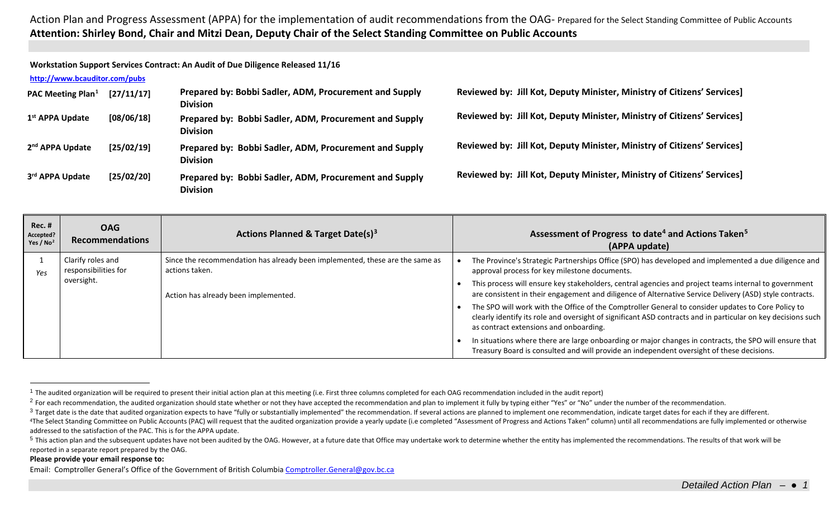Action Plan and Progress Assessment (APPA) for the implementation of audit recommendations from the OAG- Prepared for the Select Standing Committee of Public Accounts **Attention: Shirley Bond, Chair and Mitzi Dean, Deputy Chair of the Select Standing Committee on Public Accounts**

**Workstation Support Services Contract: An Audit of Due Diligence Released 11/16**

## **<http://www.bcauditor.com/pubs>**

| PAC Meeting Plan <sup>1</sup> | [27/11/17] | Prepared by: Bobbi Sadler, ADM, Procurement and Supply<br><b>Division</b> |
|-------------------------------|------------|---------------------------------------------------------------------------|
| 1 <sup>st</sup> APPA Update   | [08/06/18] | Prepared by: Bobbi Sadler, ADM, Procurement and Supply<br><b>Division</b> |
| 2 <sup>nd</sup> APPA Update   | [25/02/19] | Prepared by: Bobbi Sadler, ADM, Procurement and Supply<br><b>Division</b> |
| 3rd APPA Update               | [25/02/20] | Prepared by: Bobbi Sadler, ADM, Procurement and Supply<br><b>Division</b> |

<span id="page-0-4"></span><span id="page-0-3"></span><span id="page-0-2"></span><span id="page-0-1"></span><span id="page-0-0"></span>**Reviewed by: Jill Kot, Deputy Minister, Ministry of Citizens' Services]**

**Reviewed by: Jill Kot, Deputy Minister, Ministry of Citizens' Services]**

**Reviewed by: Jill Kot, Deputy Minister, Ministry of Citizens' Services]**

**Reviewed by: Jill Kot, Deputy Minister, Ministry of Citizens' Services]**

| $Rec.$ #<br>Accepted?<br>Yes / $No2$ | <b>OAG</b><br><b>Recommendations</b>      | <b>Actions Planned &amp; Target Date(s)<sup>3</sup></b>                                                                                | Assessment of Progress to date <sup>4</sup> and Actions Taken <sup>5</sup><br>(APPA update)                                                                                                                                                                  |
|--------------------------------------|-------------------------------------------|----------------------------------------------------------------------------------------------------------------------------------------|--------------------------------------------------------------------------------------------------------------------------------------------------------------------------------------------------------------------------------------------------------------|
| Yes                                  | Clarify roles and<br>responsibilities for | Since the recommendation has already been implemented, these are the same as<br>actions taken.<br>Action has already been implemented. | The Province's Strategic Partnerships Office (SPO) has developed and implemented a due diligence and<br>approval process for key milestone documents.                                                                                                        |
|                                      | oversight.                                |                                                                                                                                        | This process will ensure key stakeholders, central agencies and project teams internal to government<br>are consistent in their engagement and diligence of Alternative Service Delivery (ASD) style contracts.                                              |
|                                      |                                           |                                                                                                                                        | The SPO will work with the Office of the Comptroller General to consider updates to Core Policy to<br>clearly identify its role and oversight of significant ASD contracts and in particular on key decisions such<br>as contract extensions and onboarding. |
|                                      |                                           |                                                                                                                                        | In situations where there are large onboarding or major changes in contracts, the SPO will ensure that<br>Treasury Board is consulted and will provide an independent oversight of these decisions.                                                          |

## **Please provide your email response to:**

Email: Comptroller General's Office of the Government of British Columbi[a Comptroller.General@gov.bc.ca](mailto:Comptroller.General@gov.bc.ca)

 $1$  The audited organization will be required to present their initial action plan at this meeting (i.e. First three columns completed for each OAG recommendation included in the audit report)

<sup>&</sup>lt;sup>2</sup> For each recommendation, the audited organization should state whether or not they have accepted the recommendation and plan to implement it fully by typing either "Yes" or "No" under the number of the recommendation.

<sup>&</sup>lt;sup>3</sup> Target date is the date that audited organization expects to have "fully or substantially implemented" the recommendation. If several actions are planned to implement one recommendation, indicate target dates for each <sup>4</sup>The Select Standing Committee on Public Accounts (PAC) will request that the audited organization provide a yearly update (i.e completed "Assessment of Progress and Actions Taken" column) until all recommendations are f addressed to the satisfaction of the PAC. This is for the APPA update.

<sup>&</sup>lt;sup>5</sup> This action plan and the subsequent updates have not been audited by the OAG. However, at a future date that Office may undertake work to determine whether the entity has implemented the recommendations. The results of reported in a separate report prepared by the OAG.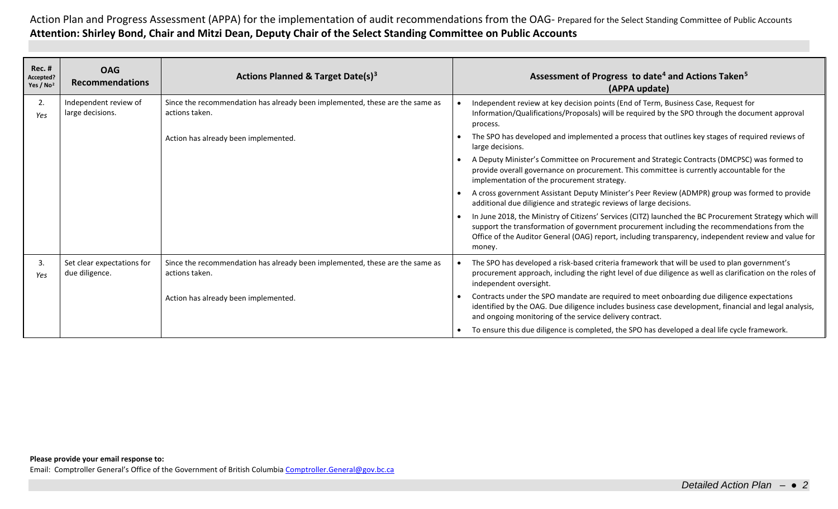Action Plan and Progress Assessment (APPA) for the implementation of audit recommendations from the OAG- Prepared for the Select Standing Committee of Public Accounts **Attention: Shirley Bond, Chair and Mitzi Dean, Deputy Chair of the Select Standing Committee on Public Accounts**

| <b>Rec. #</b><br>Accepted?<br>Yes / $No2$ | <b>OAG</b><br><b>Recommendations</b>         | Actions Planned & Target Date(s) <sup>3</sup>                                                  | Assessment of Progress to date <sup>4</sup> and Actions Taken <sup>5</sup><br>(APPA update)                                                                                                                                                                                                                              |
|-------------------------------------------|----------------------------------------------|------------------------------------------------------------------------------------------------|--------------------------------------------------------------------------------------------------------------------------------------------------------------------------------------------------------------------------------------------------------------------------------------------------------------------------|
| 2.<br>Yes                                 | Independent review of<br>large decisions.    | Since the recommendation has already been implemented, these are the same as<br>actions taken. | Independent review at key decision points (End of Term, Business Case, Request for<br>Information/Qualifications/Proposals) will be required by the SPO through the document approval<br>process.                                                                                                                        |
|                                           |                                              | Action has already been implemented.                                                           | The SPO has developed and implemented a process that outlines key stages of required reviews of<br>large decisions.                                                                                                                                                                                                      |
|                                           |                                              |                                                                                                | A Deputy Minister's Committee on Procurement and Strategic Contracts (DMCPSC) was formed to<br>provide overall governance on procurement. This committee is currently accountable for the<br>implementation of the procurement strategy.                                                                                 |
|                                           |                                              |                                                                                                | A cross government Assistant Deputy Minister's Peer Review (ADMPR) group was formed to provide<br>additional due diligience and strategic reviews of large decisions.                                                                                                                                                    |
|                                           |                                              |                                                                                                | In June 2018, the Ministry of Citizens' Services (CITZ) launched the BC Procurement Strategy which will<br>support the transformation of government procurement including the recommendations from the<br>Office of the Auditor General (OAG) report, including transparency, independent review and value for<br>money. |
| 3.<br>Yes                                 | Set clear expectations for<br>due diligence. | Since the recommendation has already been implemented, these are the same as<br>actions taken. | The SPO has developed a risk-based criteria framework that will be used to plan government's<br>procurement approach, including the right level of due diligence as well as clarification on the roles of<br>independent oversight.                                                                                      |
|                                           |                                              | Action has already been implemented.                                                           | Contracts under the SPO mandate are required to meet onboarding due diligence expectations<br>identified by the OAG. Due diligence includes business case development, financial and legal analysis,<br>and ongoing monitoring of the service delivery contract.                                                         |
|                                           |                                              |                                                                                                | To ensure this due diligence is completed, the SPO has developed a deal life cycle framework.                                                                                                                                                                                                                            |